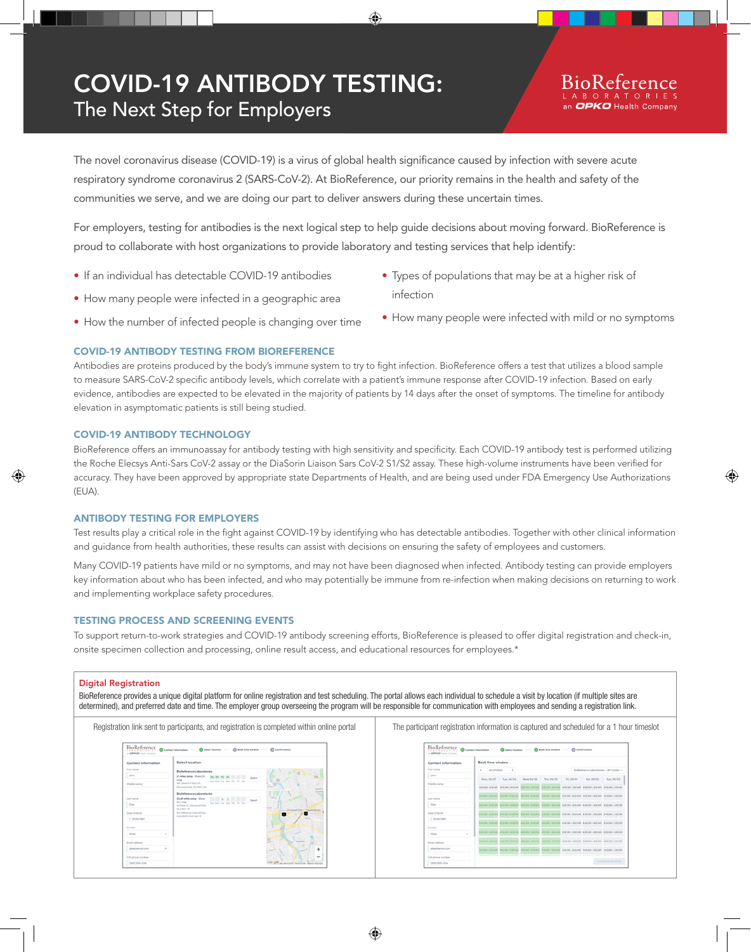# COVID-19 ANTIBODY TESTING: The Next Step for Employers

The novel coronavirus disease (COVID-19) is a virus of global health significance caused by infection with severe acute respiratory syndrome coronavirus 2 (SARS-CoV-2). At BioReference, our priority remains in the health and safety of the communities we serve, and we are doing our part to deliver answers during these uncertain times.

For employers, testing for antibodies is the next logical step to help guide decisions about moving forward. BioReference is proud to collaborate with host organizations to provide laboratory and testing services that help identify:

- If an individual has detectable COVID-19 antibodies
- How many people were infected in a geographic area
- Types of populations that may be at a higher risk of infection
- How the number of infected people is changing over time
- How many people were infected with mild or no symptoms

# COVID-19 ANTIBODY TESTING FROM BIOREFERENCE

Antibodies are proteins produced by the body's immune system to try to fight infection. BioReference offers a test that utilizes a blood sample to measure SARS-CoV-2 specific antibody levels, which correlate with a patient's immune response after COVID-19 infection. Based on early evidence, antibodies are expected to be elevated in the majority of patients by 14 days after the onset of symptoms. The timeline for antibody elevation in asymptomatic patients is still being studied.

# COVID-19 ANTIBODY TECHNOLOGY

BioReference offers an immunoassay for antibody testing with high sensitivity and specificity. Each COVID-19 antibody test is performed utilizing the Roche Elecsys Anti-Sars CoV-2 assay or the DiaSorin Liaison Sars CoV-2 S1/S2 assay. These high-volume instruments have been verified for accuracy. They have been approved by appropriate state Departments of Health, and are being used under FDA Emergency Use Authorizations (EUA).

# ANTIBODY TESTING FOR EMPLOYERS

Test results play a critical role in the fight against COVID-19 by identifying who has detectable antibodies. Together with other clinical information and guidance from health authorities, these results can assist with decisions on ensuring the safety of employees and customers.

Many COVID-19 patients have mild or no symptoms, and may not have been diagnosed when infected. Antibody testing can provide employers key information about who has been infected, and who may potentially be immune from re-infection when making decisions on returning to work and implementing workplace safety procedures.

# TESTING PROCESS AND SCREENING EVENTS

To support return-to-work strategies and COVID-19 antibody screening efforts, BioReference is pleased to offer digital registration and check-in, onsite specimen collection and processing, online result access, and educational resources for employees.\*

#### Digital Registration

BioReference provides a unique digital platform for online registration and test scheduling. The portal allows each individual to schedule a visit by location (if multiple sites are determined), and preferred date and time. The employer group overseeing the program will be responsible for communication with employees and sending a registration link.

| BioReference<br>as CARACO readers formation | Contact information - C Select location - C Book firm window - C Confirmation                                                   | as CARACO readers formation | BioReference Contact information - C Select Issuelion - C Book fina window - C Confirmation                                                                                          |  |
|---------------------------------------------|---------------------------------------------------------------------------------------------------------------------------------|-----------------------------|--------------------------------------------------------------------------------------------------------------------------------------------------------------------------------------|--|
| Contact Information                         | Select location                                                                                                                 | Contact Information         | <b>Book time window</b>                                                                                                                                                              |  |
| First name                                  | BioBeference Laboratories                                                                                                       | First name                  | $4 - 04/27/2020$<br>Biollelerence Loboratories - 491 Confers -                                                                                                                       |  |
| John.                                       | 21 miles eway - Show On.<br><b>Sales</b>                                                                                        | John.                       | Sun 05/23<br>Tue, 04/25<br>Wed. 04/20<br>Thu, 04/30<br>Evi, OS/IDE<br>Sel. 05/03                                                                                                     |  |
| Middle nome                                 | mop<br>that then has local that the that<br>AW: Educated H Roas Dr.,<br>Elmwood Pork, NJ EFAST US<br>Cashillai                  | Middle nome                 | Man, 04/2<br><b>A DEAM - RIGAN BEGAN - RIGAN</b><br><b>AAA U.A.U.AAA</b><br>900 POS - RAS COR - RAS DUR - ROS ROS - ROS DUR - ROS ROS                                                |  |
| Lost nome                                   | lourn<br><b>BioBeference Leboratories</b><br><b>Talent</b><br>22 eff miles parge - Show<br>Sales                                | Lost nome                   | 810 AM - 810 AM - 810 AM - 831 AM - 830 AM - 830 AM - 810 AM - 830 AM - 830 AM - 830 AM<br><b>WILLAND, WIRE AND</b><br><b>WITH AN  In the way</b>                                    |  |
| Doe                                         | On most<br>has blue for tried flat for that<br>at Sixter Dr., Elmanoid Park.                                                    | Doe                         | 6 20 Ave., 8,30 AM<br><b>8120-ASR - IR-30-AAA</b><br><b>ALCOHOL: N.20 AAA</b><br>830 AM - 830 AM - 830 AM - 830 AM - 830 AM - 830 AM - 830 AM - 830 AM                               |  |
| Data Of Birth                               | NUMBER AND<br><b><i><u>Santa Irock</u></i></b><br><b>LESSAGE</b><br><b>Bu Belarance Luburatories</b><br>Australian from Apr 18. | Data Of Byth                | <b>NATIONAL CARDS</b><br>A 32 AM - B 42 AM - B 52 AM - B 42 AM - B 42 AM - B 42 AM - B 42 AM - B 42 AM - B 42 AM<br>8:30-M4 - 8-40-M4                                                |  |
| <b>ITT OUTS/1967</b>                        |                                                                                                                                 | TT 05/25/1967               | <b>RAILROAD LIBRARY</b><br>P-45 804 - 915 535 - R-45 534 - 910 536 - R-45 534 - R-55 534 - R-45 534 - R-55 636<br><b>Business Library Ave.</b>                                       |  |
| Conder                                      |                                                                                                                                 | Conder                      |                                                                                                                                                                                      |  |
| Mole                                        |                                                                                                                                 | Mole                        | 153, Mil. - \$155, Mil.<br><b>BISKAN - BOOANA</b><br><b>AND AM - SIDE AND BIRD AND - SIDE AND</b><br>A 501-AAA - M 601-AAA - M 511-AAA - M 512-AAA                                   |  |
| Ernal address                               | <b>Carlield</b>                                                                                                                 | <b>Ernal address</b>        | <b>BEAR IN BREAK</b><br><b>British street - Meridian and</b><br><b>British above a right above</b><br><b>MARINE LIBRARY</b><br>Michildren J. Writt allen - Michildren J. Writt Allen |  |
| idea/lampl.com                              |                                                                                                                                 | idea/lamsLcom               |                                                                                                                                                                                      |  |